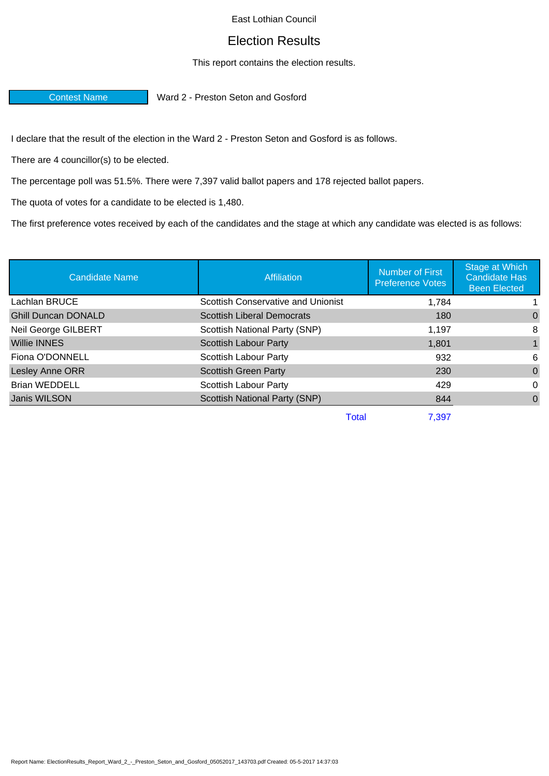## East Lothian Council

## Election Results

## This report contains the election results.

**Contest Name Ward 2 - Preston Seton and Gosford** 

I declare that the result of the election in the Ward 2 - Preston Seton and Gosford is as follows.

There are 4 councillor(s) to be elected.

The percentage poll was 51.5%. There were 7,397 valid ballot papers and 178 rejected ballot papers.

The quota of votes for a candidate to be elected is 1,480.

The first preference votes received by each of the candidates and the stage at which any candidate was elected is as follows:

| <b>Candidate Name</b>      | <b>Affiliation</b>                        | <b>Number of First</b><br><b>Preference Votes</b> | Stage at Which<br><b>Candidate Has</b><br><b>Been Elected</b> |
|----------------------------|-------------------------------------------|---------------------------------------------------|---------------------------------------------------------------|
| Lachlan BRUCE              | <b>Scottish Conservative and Unionist</b> | 1,784                                             |                                                               |
| <b>Ghill Duncan DONALD</b> | <b>Scottish Liberal Democrats</b>         | 180                                               | 0                                                             |
| Neil George GILBERT        | Scottish National Party (SNP)             | 1,197                                             | 8                                                             |
| <b>Willie INNES</b>        | <b>Scottish Labour Party</b>              | 1.801                                             |                                                               |
| Fiona O'DONNELL            | Scottish Labour Party                     | 932                                               | 6                                                             |
| Lesley Anne ORR            | <b>Scottish Green Party</b>               | 230                                               | 0                                                             |
| <b>Brian WEDDELL</b>       | Scottish Labour Party                     | 429                                               | $\Omega$                                                      |
| Janis WILSON               | Scottish National Party (SNP)             | 844                                               | $\Omega$                                                      |
|                            | <b>Total</b>                              | 7,397                                             |                                                               |